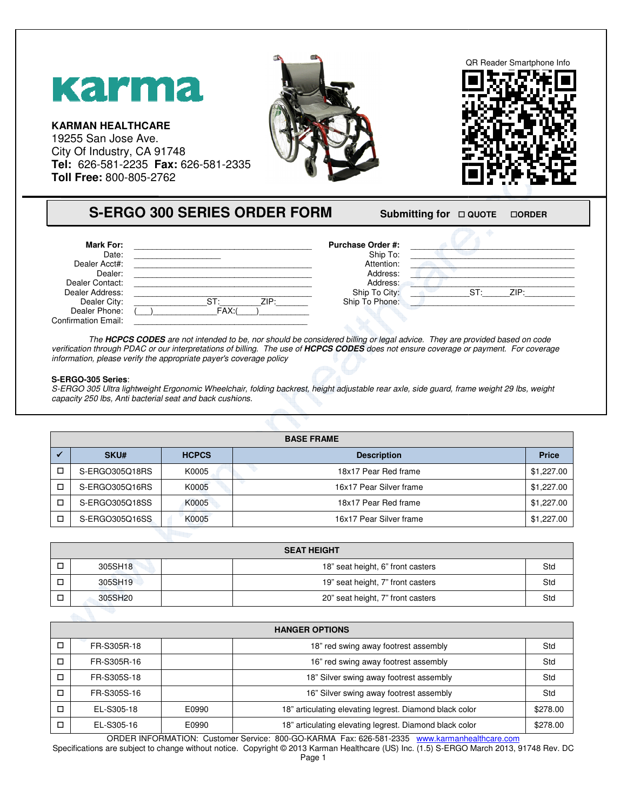

## **S-ERGO 300 SERIES ORDER FORM**

## **FORM** Submitting for  $\Box$  QUOTE  $\Box$ **ORDER**

| <b>Mark For:</b>           |            | <b>Purchase Order #:</b> |                |
|----------------------------|------------|--------------------------|----------------|
| Date:                      |            | Ship To:                 |                |
| Dealer Acct#:              |            | Attention:               |                |
| Dealer:                    |            | Address:                 |                |
| Dealer Contact:            |            | Address:                 |                |
| Dealer Address:            |            | Ship To City:            | $ST^+$<br>71P· |
| Dealer City:               | ST<br>7IP: | Ship To Phone:           |                |
| Dealer Phone:              | FAX:       |                          |                |
| <b>Confirmation Email:</b> |            |                          |                |

The HCPCS CODES are not intended to be, nor should be considered billing or legal advice. They are provided based on code The **HCPCS CODES** are not intended to be, nor should be considered billing or legal advice. They are provided based on code<br>verification through PDAC or our interpretations of billing. The use of **HCPCS CODES** does not ens information, please verify the appropriate payer's coverage policy

## **S-ERGO-305 Series**:

S-ERGO 305 Ultra lightweight Ergonomic Wheelchair, folding backrest, height adjustable rear axle, side guard, frame weight 29 lbs, weight<br>capacity 250 lbs, Anti bacterial seat and back cushions. capacity 250 lbs, Anti bacterial seat and back cushions.

| <b>BASE FRAME</b> |                |              |                         |              |  |
|-------------------|----------------|--------------|-------------------------|--------------|--|
|                   | <b>SKU#</b>    | <b>HCPCS</b> | <b>Description</b>      | <b>Price</b> |  |
|                   | S-ERGO305Q18RS | K0005        | 18x17 Pear Red frame    | \$1,227.00   |  |
|                   | S-ERGO305Q16RS | K0005        | 16x17 Pear Silver frame | \$1,227.00   |  |
|                   | S-ERGO305Q18SS | K0005        | 18x17 Pear Red frame    | \$1,227.00   |  |
|                   | S-ERGO305Q16SS | K0005        | 16x17 Pear Silver frame | \$1,227.00   |  |

| <b>SEAT HEIGHT</b> |                                   |     |  |  |
|--------------------|-----------------------------------|-----|--|--|
| 305SH18            | 18" seat height, 6" front casters | Std |  |  |
| 305SH19            | 19" seat height, 7" front casters | Std |  |  |
| 305SH20            | 20" seat height, 7" front casters | Std |  |  |

| <b>HANGER OPTIONS</b> |             |       |                                                         |          |
|-----------------------|-------------|-------|---------------------------------------------------------|----------|
| □                     | FR-S305R-18 |       | 18" red swing away footrest assembly                    | Std      |
| □                     | FR-S305R-16 |       | 16" red swing away footrest assembly                    | Std      |
| □                     | FR-S305S-18 |       | 18" Silver swing away footrest assembly                 | Std      |
| □                     | FR-S305S-16 |       | 16" Silver swing away footrest assembly                 | Std      |
| □                     | EL-S305-18  | E0990 | 18" articulating elevating legrest. Diamond black color | \$278.00 |
| □                     | EL-S305-16  | E0990 | 18" articulating elevating legrest. Diamond black color | \$278.00 |

ORDER INFORMATION: Customer Service: 800-GO-KARMA Fax: 626-581-2335 www.karmanhealthcare.com

Specifications are subject to change without notice. Copyright © 2013 Karman Healthcare (US) Inc. (1.5) S-ERGO March 2013, 91748 Rev. DC Page 1